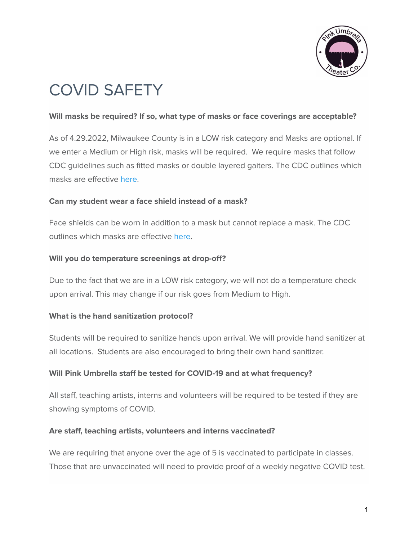

# COVID SAFETY

#### **Will masks be required? If so, what type of masks or face coverings are acceptable?**

As of 4.29.2022, Milwaukee County is in a LOW risk category and Masks are optional. If we enter a Medium or High risk, masks will be required. We require masks that follow CDC guidelines such as fitted masks or double layered gaiters. The CDC outlines which masks are effective [here.](https://www.cdc.gov/coronavirus/2019-ncov/prevent-getting-sick/about-face-coverings.html)

#### **Can my student wear a face shield instead of a mask?**

Face shields can be worn in addition to a mask but cannot replace a mask. The CDC outlines which masks are effective [here](https://www.cdc.gov/coronavirus/2019-ncov/prevent-getting-sick/about-face-coverings.html).

#### **Will you do temperature screenings at drop-off?**

Due to the fact that we are in a LOW risk category, we will not do a temperature check upon arrival. This may change if our risk goes from Medium to High.

#### **What is the hand sanitization protocol?**

Students will be required to sanitize hands upon arrival. We will provide hand sanitizer at all locations. Students are also encouraged to bring their own hand sanitizer.

#### **Will Pink Umbrella staff be tested for COVID-19 and at what frequency?**

All staff, teaching artists, interns and volunteers will be required to be tested if they are showing symptoms of COVID.

#### **Are staff, teaching artists, volunteers and interns vaccinated?**

We are requiring that anyone over the age of 5 is vaccinated to participate in classes. Those that are unvaccinated will need to provide proof of a weekly negative COVID test.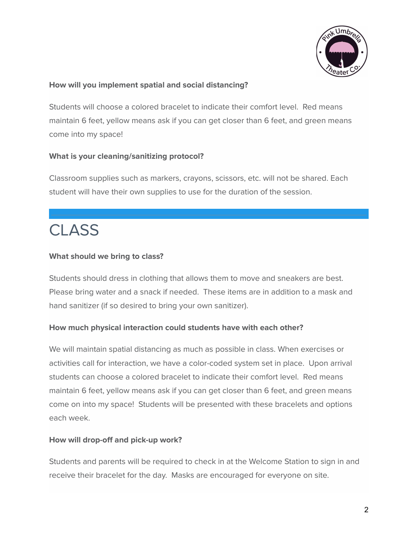

#### **How will you implement spatial and social distancing?**

Students will choose a colored bracelet to indicate their comfort level. Red means maintain 6 feet, yellow means ask if you can get closer than 6 feet, and green means come into my space!

#### **What is your cleaning/sanitizing protocol?**

Classroom supplies such as markers, crayons, scissors, etc. will not be shared. Each student will have their own supplies to use for the duration of the session.

## **CLASS**

#### **What should we bring to class?**

Students should dress in clothing that allows them to move and sneakers are best. Please bring water and a snack if needed. These items are in addition to a mask and hand sanitizer (if so desired to bring your own sanitizer).

#### **How much physical interaction could students have with each other?**

We will maintain spatial distancing as much as possible in class. When exercises or activities call for interaction, we have a color-coded system set in place. Upon arrival students can choose a colored bracelet to indicate their comfort level. Red means maintain 6 feet, yellow means ask if you can get closer than 6 feet, and green means come on into my space! Students will be presented with these bracelets and options each week.

#### **How will drop-off and pick-up work?**

Students and parents will be required to check in at the Welcome Station to sign in and receive their bracelet for the day. Masks are encouraged for everyone on site.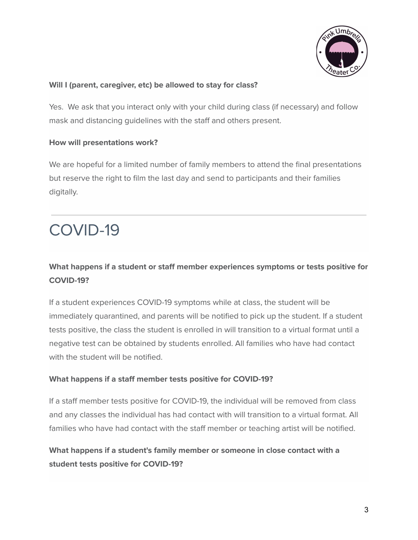

#### **Will I (parent, caregiver, etc) be allowed to stay for class?**

Yes. We ask that you interact only with your child during class (if necessary) and follow mask and distancing guidelines with the staff and others present.

#### **How will presentations work?**

We are hopeful for a limited number of family members to attend the final presentations but reserve the right to film the last day and send to participants and their families digitally.

## COVID-19

### **What happens if a student or staff member experiences symptoms or tests positive for COVID-19?**

If a student experiences COVID-19 symptoms while at class, the student will be immediately quarantined, and parents will be notified to pick up the student. If a student tests positive, the class the student is enrolled in will transition to a virtual format until a negative test can be obtained by students enrolled. All families who have had contact with the student will be notified.

#### **What happens if a staff member tests positive for COVID-19?**

If a staff member tests positive for COVID-19, the individual will be removed from class and any classes the individual has had contact with will transition to a virtual format. All families who have had contact with the staff member or teaching artist will be notified.

### **What happens if a student's family member or someone in close contact with a student tests positive for COVID-19?**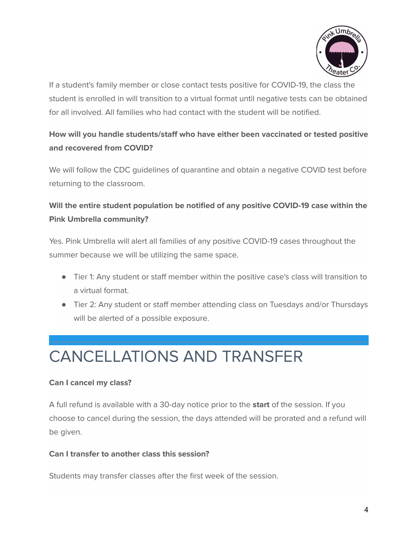

If a student's family member or close contact tests positive for COVID-19, the class the student is enrolled in will transition to a virtual format until negative tests can be obtained for all involved. All families who had contact with the student will be notified.

## **How will you handle students/staff who have either been vaccinated or tested positive and recovered from COVID?**

We will follow the CDC guidelines of quarantine and obtain a negative COVID test before returning to the classroom.

## **Will the entire student population be notified of any positive COVID-19 case within the Pink Umbrella community?**

Yes. Pink Umbrella will alert all families of any positive COVID-19 cases throughout the summer because we will be utilizing the same space.

- Tier 1: Any student or staff member within the positive case's class will transition to a virtual format.
- Tier 2: Any student or staff member attending class on Tuesdays and/or Thursdays will be alerted of a possible exposure.

## CANCELLATIONS AND TRANSFER

#### **Can I cancel my class?**

A full refund is available with a 30-day notice prior to the **start** of the session. If you choose to cancel during the session, the days attended will be prorated and a refund will be given.

#### **Can I transfer to another class this session?**

Students may transfer classes after the first week of the session.